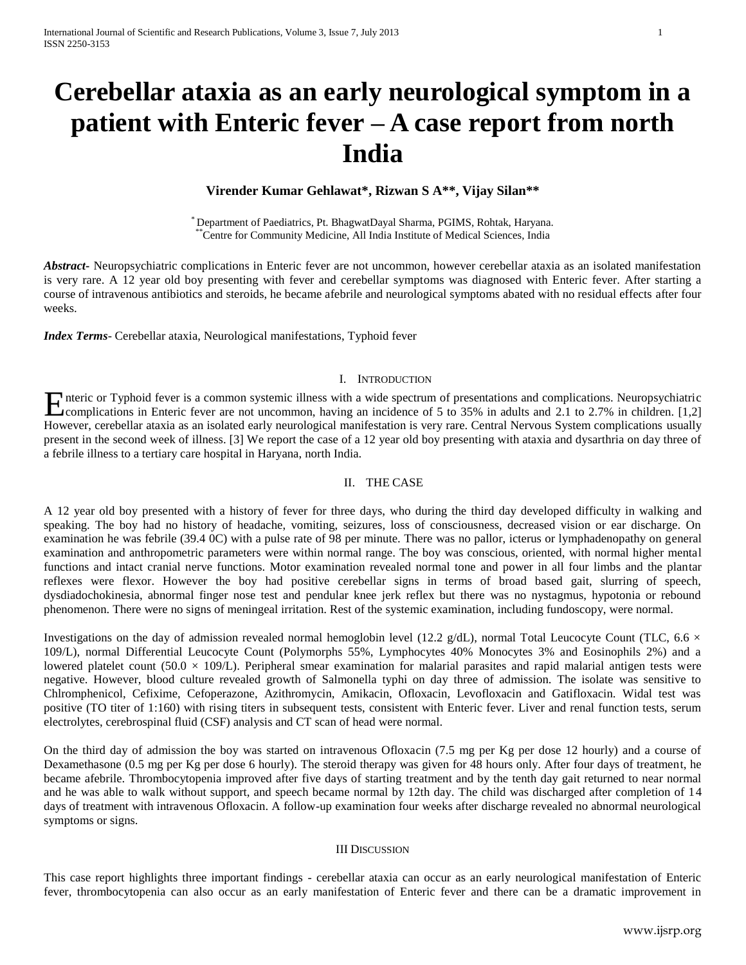# **Cerebellar ataxia as an early neurological symptom in a patient with Enteric fever – A case report from north India**

# **Virender Kumar Gehlawat\*, Rizwan S A\*\*, Vijay Silan\*\***

\* Department of Paediatrics, Pt. BhagwatDayal Sharma, PGIMS, Rohtak, Haryana. \*\*Centre for Community Medicine, All India Institute of Medical Sciences, India

*Abstract***-** Neuropsychiatric complications in Enteric fever are not uncommon, however cerebellar ataxia as an isolated manifestation is very rare. A 12 year old boy presenting with fever and cerebellar symptoms was diagnosed with Enteric fever. After starting a course of intravenous antibiotics and steroids, he became afebrile and neurological symptoms abated with no residual effects after four weeks.

*Index Terms*- Cerebellar ataxia, Neurological manifestations, Typhoid fever

### I. INTRODUCTION

Theric or Typhoid fever is a common systemic illness with a wide spectrum of presentations and complications. Neuropsychiatric complications in Enteric fever are not uncommon, having an incidence of 5 to 35% in adults and complications in Enteric fever are not uncommon, having an incidence of 5 to 35% in adults and 2.1 to 2.7% in children. [1,2] However, cerebellar ataxia as an isolated early neurological manifestation is very rare. Central Nervous System complications usually present in the second week of illness. [3] We report the case of a 12 year old boy presenting with ataxia and dysarthria on day three of a febrile illness to a tertiary care hospital in Haryana, north India.

## II. THE CASE

A 12 year old boy presented with a history of fever for three days, who during the third day developed difficulty in walking and speaking. The boy had no history of headache, vomiting, seizures, loss of consciousness, decreased vision or ear discharge. On examination he was febrile (39.4 0C) with a pulse rate of 98 per minute. There was no pallor, icterus or lymphadenopathy on general examination and anthropometric parameters were within normal range. The boy was conscious, oriented, with normal higher mental functions and intact cranial nerve functions. Motor examination revealed normal tone and power in all four limbs and the plantar reflexes were flexor. However the boy had positive cerebellar signs in terms of broad based gait, slurring of speech, dysdiadochokinesia, abnormal finger nose test and pendular knee jerk reflex but there was no nystagmus, hypotonia or rebound phenomenon. There were no signs of meningeal irritation. Rest of the systemic examination, including fundoscopy, were normal.

Investigations on the day of admission revealed normal hemoglobin level (12.2 g/dL), normal Total Leucocyte Count (TLC, 6.6  $\times$ 109/L), normal Differential Leucocyte Count (Polymorphs 55%, Lymphocytes 40% Monocytes 3% and Eosinophils 2%) and a lowered platelet count (50.0  $\times$  109/L). Peripheral smear examination for malarial parasites and rapid malarial antigen tests were negative. However, blood culture revealed growth of Salmonella typhi on day three of admission. The isolate was sensitive to Chlromphenicol, Cefixime, Cefoperazone, Azithromycin, Amikacin, Ofloxacin, Levofloxacin and Gatifloxacin. Widal test was positive (TO titer of 1:160) with rising titers in subsequent tests, consistent with Enteric fever. Liver and renal function tests, serum electrolytes, cerebrospinal fluid (CSF) analysis and CT scan of head were normal.

On the third day of admission the boy was started on intravenous Ofloxacin (7.5 mg per Kg per dose 12 hourly) and a course of Dexamethasone (0.5 mg per Kg per dose 6 hourly). The steroid therapy was given for 48 hours only. After four days of treatment, he became afebrile. Thrombocytopenia improved after five days of starting treatment and by the tenth day gait returned to near normal and he was able to walk without support, and speech became normal by 12th day. The child was discharged after completion of 14 days of treatment with intravenous Ofloxacin. A follow-up examination four weeks after discharge revealed no abnormal neurological symptoms or signs.

#### III DISCUSSION

This case report highlights three important findings - cerebellar ataxia can occur as an early neurological manifestation of Enteric fever, thrombocytopenia can also occur as an early manifestation of Enteric fever and there can be a dramatic improvement in